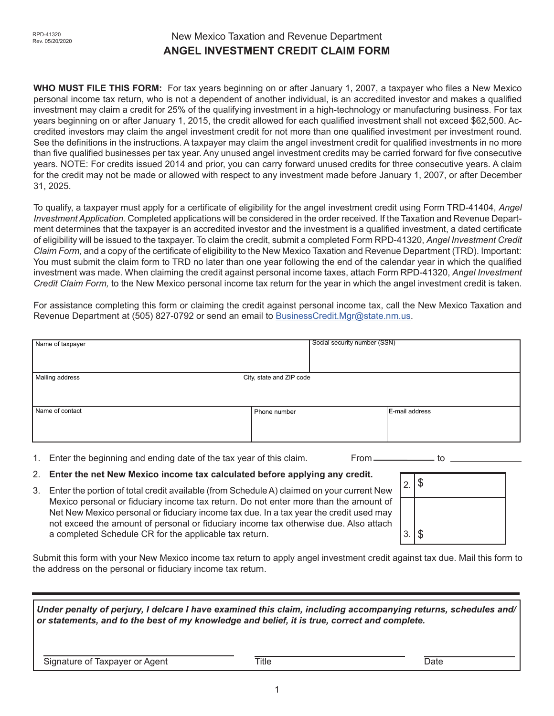# New Mexico Taxation and Revenue Department **ANGEL INVESTMENT CREDIT CLAIM FORM**

**WHO MUST FILE THIS FORM:** For tax years beginning on or after January 1, 2007, a taxpayer who files a New Mexico personal income tax return, who is not a dependent of another individual, is an accredited investor and makes a qualified investment may claim a credit for 25% of the qualifying investment in a high-technology or manufacturing business. For tax years beginning on or after January 1, 2015, the credit allowed for each qualified investment shall not exceed \$62,500. Accredited investors may claim the angel investment credit for not more than one qualified investment per investment round. See the definitions in the instructions. A taxpayer may claim the angel investment credit for qualified investments in no more than five qualified businesses per tax year. Any unused angel investment credits may be carried forward for five consecutive years. NOTE: For credits issued 2014 and prior, you can carry forward unused credits for three consecutive years. A claim for the credit may not be made or allowed with respect to any investment made before January 1, 2007, or after December 31, 2025.

To qualify, a taxpayer must apply for a certificate of eligibility for the angel investment credit using Form TRD-41404, *Angel Investment Application.* Completed applications will be considered in the order received. If the Taxation and Revenue Department determines that the taxpayer is an accredited investor and the investment is a qualified investment, a dated certificate of eligibility will be issued to the taxpayer. To claim the credit, submit a completed Form RPD-41320, *Angel Investment Credit Claim Form,* and a copy of the certificate of eligibility to the New Mexico Taxation and Revenue Department (TRD). Important: You must submit the claim form to TRD no later than one year following the end of the calendar year in which the qualified investment was made. When claiming the credit against personal income taxes, attach Form RPD-41320, *Angel Investment Credit Claim Form,* to the New Mexico personal income tax return for the year in which the angel investment credit is taken.

For assistance completing this form or claiming the credit against personal income tax, call the New Mexico Taxation and Revenue Department at (505) 827-0792 or send an email to **BusinessCredit.Mgr@state.nm.us.** 

| Name of taxpayer |                          | Social security number (SSN) |                |
|------------------|--------------------------|------------------------------|----------------|
| Mailing address  | City, state and ZIP code |                              |                |
| Name of contact  | Phone number             |                              | E-mail address |

1. Enter the beginning and ending date of the tax year of this claim. From <u>\_\_\_\_\_\_\_\_\_\_\_\_\_</u> to

- 2. **Enter the net New Mexico income tax calculated before applying any credit.**
- 3. Enter the portion of total credit available (from Schedule A) claimed on your current New Mexico personal or fiduciary income tax return. Do not enter more than the amount of Net New Mexico personal or fiduciary income tax due. In a tax year the credit used may not exceed the amount of personal or fiduciary income tax otherwise due. Also attach a completed Schedule CR for the applicable tax return.

| 2.8             |  |
|-----------------|--|
|                 |  |
| $3.$ $\sqrt{$}$ |  |

Submit this form with your New Mexico income tax return to apply angel investment credit against tax due. Mail this form to the address on the personal or fiduciary income tax return.

*Under penalty of perjury, I delcare I have examined this claim, including accompanying returns, schedules and/ or statements, and to the best of my knowledge and belief, it is true, correct and complete.* Signature of Taxpayer or Agent Title Title Title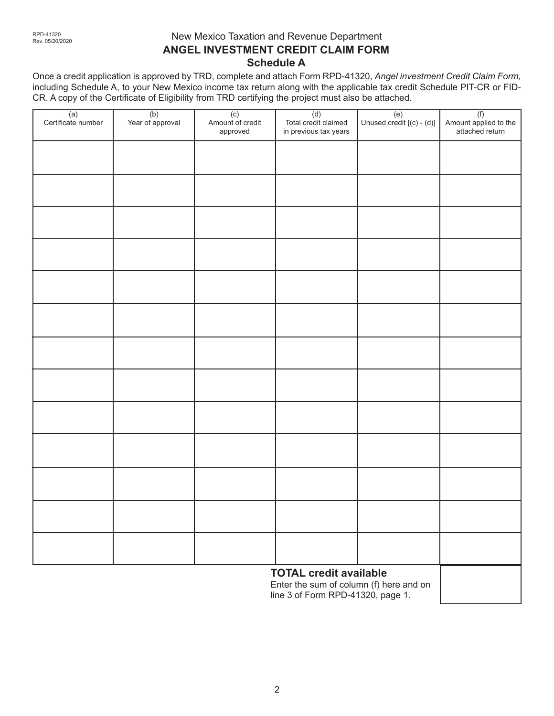# New Mexico Taxation and Revenue Department **ANGEL INVESTMENT CREDIT CLAIM FORM Schedule A**

Once a credit application is approved by TRD, complete and attach Form RPD-41320, *Angel investment Credit Claim Form,* including Schedule A, to your New Mexico income tax return along with the applicable tax credit Schedule PIT-CR or FID-CR. A copy of the Certificate of Eligibility from TRD certifying the project must also be attached.

| (a)<br>Certificate number | (b)<br>Year of approval | (c)<br>Amount of credit<br>approved | (d)<br>Total credit claimed<br>in previous tax years | $\begin{array}{c} (e) \\ Unused credit [(c) - (d)] \end{array}$ | (f)<br>Amount applied to the<br>attached return |
|---------------------------|-------------------------|-------------------------------------|------------------------------------------------------|-----------------------------------------------------------------|-------------------------------------------------|
|                           |                         |                                     |                                                      |                                                                 |                                                 |
|                           |                         |                                     |                                                      |                                                                 |                                                 |
|                           |                         |                                     |                                                      |                                                                 |                                                 |
|                           |                         |                                     |                                                      |                                                                 |                                                 |
|                           |                         |                                     |                                                      |                                                                 |                                                 |
|                           |                         |                                     |                                                      |                                                                 |                                                 |
|                           |                         |                                     |                                                      |                                                                 |                                                 |
|                           |                         |                                     |                                                      |                                                                 |                                                 |
|                           |                         |                                     |                                                      |                                                                 |                                                 |
|                           |                         |                                     |                                                      |                                                                 |                                                 |
|                           |                         |                                     |                                                      |                                                                 |                                                 |
|                           |                         |                                     |                                                      |                                                                 |                                                 |
|                           |                         |                                     |                                                      |                                                                 |                                                 |
|                           |                         |                                     |                                                      |                                                                 |                                                 |

## **TOTAL credit available**

Enter the sum of column (f) here and on line 3 of Form RPD-41320, page 1.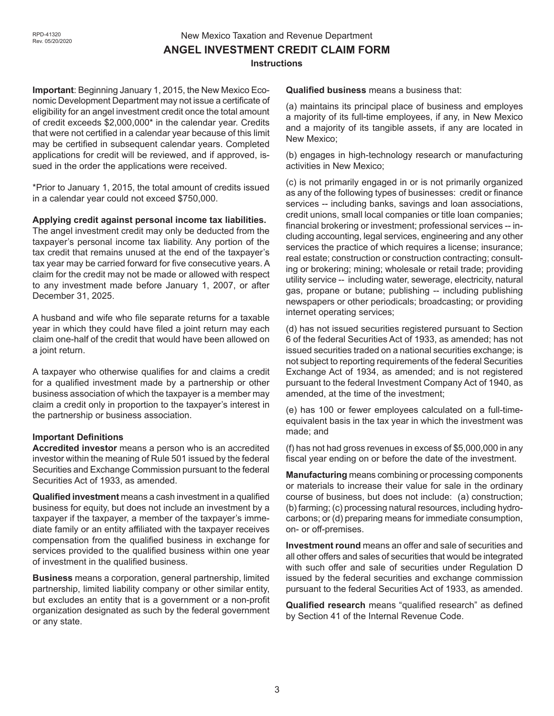# New Mexico Taxation and Revenue Department **ANGEL INVESTMENT CREDIT CLAIM FORM Instructions**

**Important**: Beginning January 1, 2015, the New Mexico Economic Development Department may not issue a certificate of eligibility for an angel investment credit once the total amount of credit exceeds \$2,000,000\* in the calendar year. Credits that were not certified in a calendar year because of this limit may be certified in subsequent calendar years. Completed applications for credit will be reviewed, and if approved, issued in the order the applications were received.

\*Prior to January 1, 2015, the total amount of credits issued in a calendar year could not exceed \$750,000.

#### **Applying credit against personal income tax liabilities.**

The angel investment credit may only be deducted from the taxpayer's personal income tax liability. Any portion of the tax credit that remains unused at the end of the taxpayer's tax year may be carried forward for five consecutive years. A claim for the credit may not be made or allowed with respect to any investment made before January 1, 2007, or after December 31, 2025.

A husband and wife who file separate returns for a taxable year in which they could have filed a joint return may each claim one-half of the credit that would have been allowed on a joint return.

A taxpayer who otherwise qualifies for and claims a credit for a qualified investment made by a partnership or other business association of which the taxpayer is a member may claim a credit only in proportion to the taxpayer's interest in the partnership or business association.

#### **Important Definitions**

**Accredited investor** means a person who is an accredited investor within the meaning of Rule 501 issued by the federal Securities and Exchange Commission pursuant to the federal Securities Act of 1933, as amended.

**Qualified investment** means a cash investment in a qualified business for equity, but does not include an investment by a taxpayer if the taxpayer, a member of the taxpayer's immediate family or an entity affiliated with the taxpayer receives compensation from the qualified business in exchange for services provided to the qualified business within one year of investment in the qualified business.

**Business** means a corporation, general partnership, limited partnership, limited liability company or other similar entity, but excludes an entity that is a government or a non-profit organization designated as such by the federal government or any state.

**Qualified business** means a business that:

(a) maintains its principal place of business and employes a majority of its full-time employees, if any, in New Mexico and a majority of its tangible assets, if any are located in New Mexico;

(b) engages in high-technology research or manufacturing activities in New Mexico;

(c) is not primarily engaged in or is not primarily organized as any of the following types of businesses: credit or finance services -- including banks, savings and loan associations, credit unions, small local companies or title loan companies; financial brokering or investment; professional services -- including accounting, legal services, engineering and any other services the practice of which requires a license; insurance; real estate; construction or construction contracting; consulting or brokering; mining; wholesale or retail trade; providing utility service -- including water, sewerage, electricity, natural gas, propane or butane; publishing -- including publishing newspapers or other periodicals; broadcasting; or providing internet operating services;

(d) has not issued securities registered pursuant to Section 6 of the federal Securities Act of 1933, as amended; has not issued securities traded on a national securities exchange; is not subject to reporting requirements of the federal Securities Exchange Act of 1934, as amended; and is not registered pursuant to the federal Investment Company Act of 1940, as amended, at the time of the investment;

(e) has 100 or fewer employees calculated on a full-timeequivalent basis in the tax year in which the investment was made; and

(f) has not had gross revenues in excess of \$5,000,000 in any fiscal year ending on or before the date of the investment.

**Manufacturing** means combining or processing components or materials to increase their value for sale in the ordinary course of business, but does not include: (a) construction; (b) farming; (c) processing natural resources, including hydrocarbons; or (d) preparing means for immediate consumption, on- or off-premises.

**Investment round** means an offer and sale of securities and all other offers and sales of securities that would be integrated with such offer and sale of securities under Regulation D issued by the federal securities and exchange commission pursuant to the federal Securities Act of 1933, as amended.

**Qualified research** means "qualified research" as defined by Section 41 of the Internal Revenue Code.